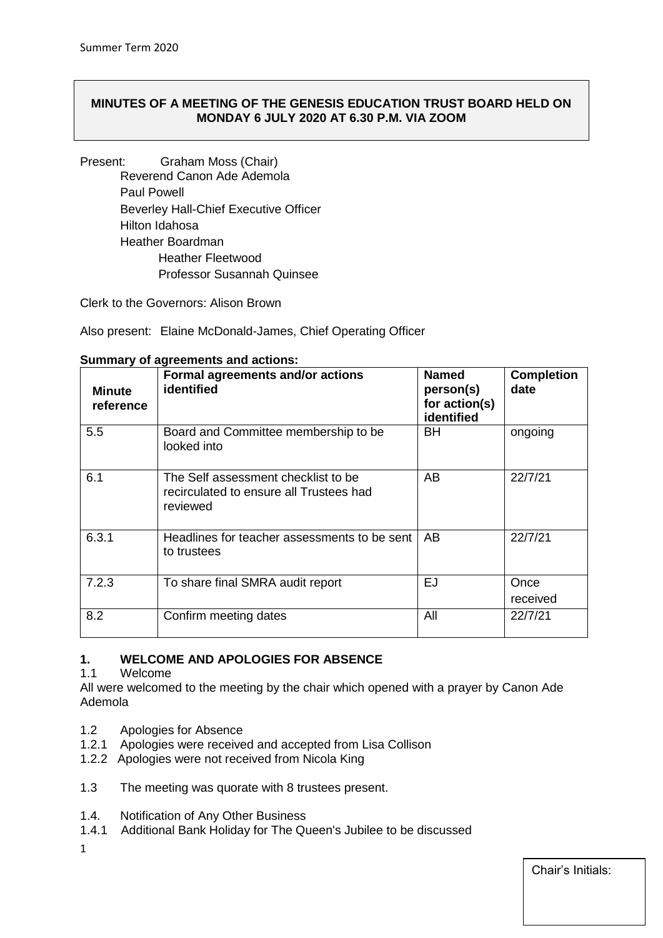# **MINUTES OF A MEETING OF THE GENESIS EDUCATION TRUST BOARD HELD ON MONDAY 6 JULY 2020 AT 6.30 P.M. VIA ZOOM**

Present: Graham Moss (Chair) Reverend Canon Ade Ademola Paul Powell Beverley Hall-Chief Executive Officer Hilton Idahosa Heather Boardman Heather Fleetwood Professor Susannah Quinsee

Clerk to the Governors: Alison Brown

Also present: Elaine McDonald-James, Chief Operating Officer

| <b>Minute</b><br>reference | Formal agreements and/or actions<br>identified                                             | <b>Named</b><br>person(s)<br>for action(s)<br>identified | <b>Completion</b><br>date |
|----------------------------|--------------------------------------------------------------------------------------------|----------------------------------------------------------|---------------------------|
| 5.5                        | Board and Committee membership to be<br>looked into                                        | BН                                                       | ongoing                   |
| 6.1                        | The Self assessment checklist to be<br>recirculated to ensure all Trustees had<br>reviewed | AB                                                       | 22/7/21                   |
| 6.3.1                      | Headlines for teacher assessments to be sent<br>to trustees                                | AB                                                       | 22/7/21                   |
| 7.2.3                      | To share final SMRA audit report                                                           | <b>EJ</b>                                                | Once<br>received          |
| 8.2                        | Confirm meeting dates                                                                      | All                                                      | 22/7/21                   |

#### **Summary of agreements and actions:**

# **1. WELCOME AND APOLOGIES FOR ABSENCE**

1.1 Welcome

All were welcomed to the meeting by the chair which opened with a prayer by Canon Ade Ademola

- 1.2 Apologies for Absence
- 1.2.1 Apologies were received and accepted from Lisa Collison
- 1.2.2 Apologies were not received from Nicola King
- 1.3 The meeting was quorate with 8 trustees present.
- 1.4. Notification of Any Other Business
- 1.4.1 Additional Bank Holiday for The Queen's Jubilee to be discussed
- 1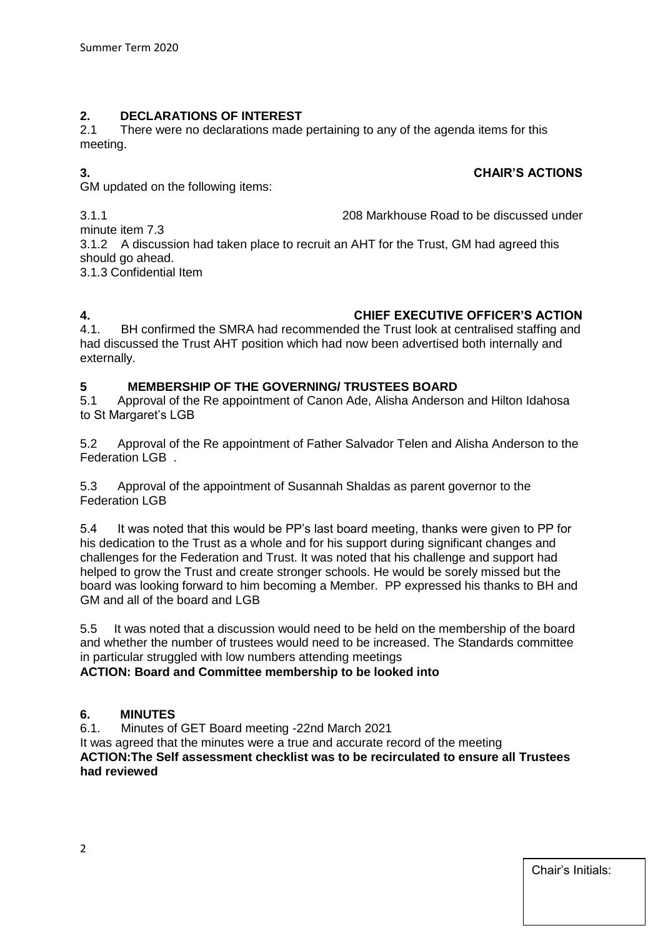# **2. DECLARATIONS OF INTEREST**

There were no declarations made pertaining to any of the agenda items for this meeting.

# **3. CHAIR'S ACTIONS**

GM updated on the following items:

3.1.1 208 Markhouse Road to be discussed under

minute item 7.3 3.1.2 A discussion had taken place to recruit an AHT for the Trust, GM had agreed this should go ahead.

3.1.3 Confidential Item

# **4. CHIEF EXECUTIVE OFFICER'S ACTION**

4.1. BH confirmed the SMRA had recommended the Trust look at centralised staffing and had discussed the Trust AHT position which had now been advertised both internally and externally.

# **5** MEMBERSHIP OF THE GOVERNING/ TRUSTEES BOARD<br>5.1 Approval of the Re appointment of Canon Ade, Alisha Andersor

Approval of the Re appointment of Canon Ade, Alisha Anderson and Hilton Idahosa to St Margaret's LGB

5.2 Approval of the Re appointment of Father Salvador Telen and Alisha Anderson to the Federation LGB .

5.3 Approval of the appointment of Susannah Shaldas as parent governor to the Federation LGB

5.4 It was noted that this would be PP's last board meeting, thanks were given to PP for his dedication to the Trust as a whole and for his support during significant changes and challenges for the Federation and Trust. It was noted that his challenge and support had helped to grow the Trust and create stronger schools. He would be sorely missed but the board was looking forward to him becoming a Member. PP expressed his thanks to BH and GM and all of the board and LGB

5.5 It was noted that a discussion would need to be held on the membership of the board and whether the number of trustees would need to be increased. The Standards committee in particular struggled with low numbers attending meetings

#### **ACTION: Board and Committee membership to be looked into**

#### **6. MINUTES**

6.1. Minutes of GET Board meeting -22nd March 2021

It was agreed that the minutes were a true and accurate record of the meeting **ACTION:The Self assessment checklist was to be recirculated to ensure all Trustees had reviewed**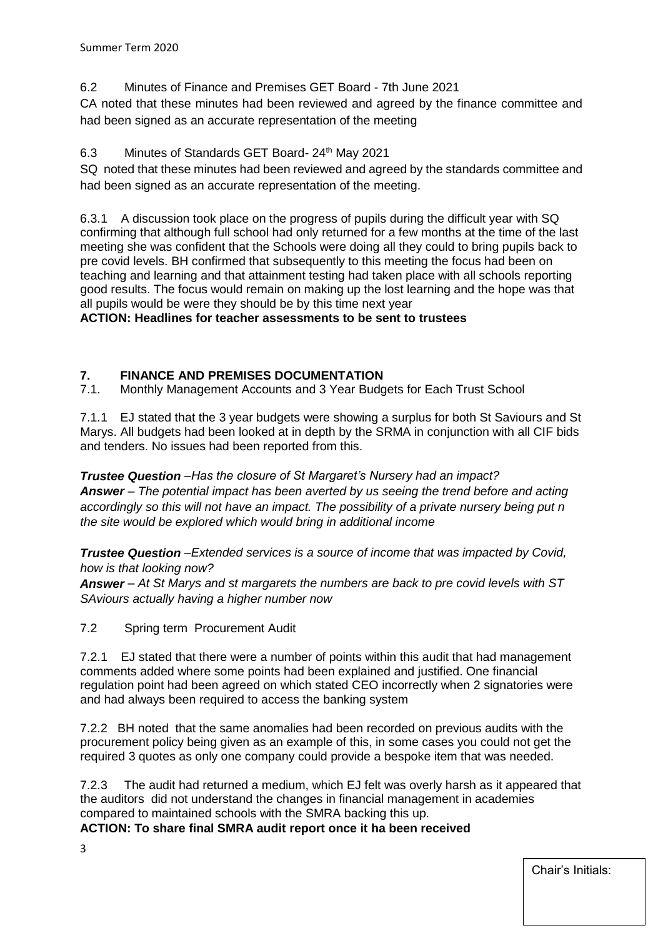6.2 Minutes of Finance and Premises GET Board - 7th June 2021

CA noted that these minutes had been reviewed and agreed by the finance committee and had been signed as an accurate representation of the meeting

# 6.3 Minutes of Standards GET Board- 24<sup>th</sup> May 2021

SQ noted that these minutes had been reviewed and agreed by the standards committee and had been signed as an accurate representation of the meeting.

6.3.1 A discussion took place on the progress of pupils during the difficult year with SQ confirming that although full school had only returned for a few months at the time of the last meeting she was confident that the Schools were doing all they could to bring pupils back to pre covid levels. BH confirmed that subsequently to this meeting the focus had been on teaching and learning and that attainment testing had taken place with all schools reporting good results. The focus would remain on making up the lost learning and the hope was that all pupils would be were they should be by this time next year

**ACTION: Headlines for teacher assessments to be sent to trustees**

# **7. FINANCE AND PREMISES DOCUMENTATION**

7.1. Monthly Management Accounts and 3 Year Budgets for Each Trust School

7.1.1 EJ stated that the 3 year budgets were showing a surplus for both St Saviours and St Marys. All budgets had been looked at in depth by the SRMA in conjunction with all CIF bids and tenders. No issues had been reported from this.

*Trustee Question –Has the closure of St Margaret's Nursery had an impact? Answer – The potential impact has been averted by us seeing the trend before and acting accordingly so this will not have an impact. The possibility of a private nursery being put n the site would be explored which would bring in additional income*

*Trustee Question –Extended services is a source of income that was impacted by Covid, how is that looking now?*

*Answer – At St Marys and st margarets the numbers are back to pre covid levels with ST SAviours actually having a higher number now* 

7.2 Spring term Procurement Audit

7.2.1 EJ stated that there were a number of points within this audit that had management comments added where some points had been explained and justified. One financial regulation point had been agreed on which stated CEO incorrectly when 2 signatories were and had always been required to access the banking system

7.2.2 BH noted that the same anomalies had been recorded on previous audits with the procurement policy being given as an example of this, in some cases you could not get the required 3 quotes as only one company could provide a bespoke item that was needed.

7.2.3 The audit had returned a medium, which EJ felt was overly harsh as it appeared that the auditors did not understand the changes in financial management in academies compared to maintained schools with the SMRA backing this up.

**ACTION: To share final SMRA audit report once it ha been received**

3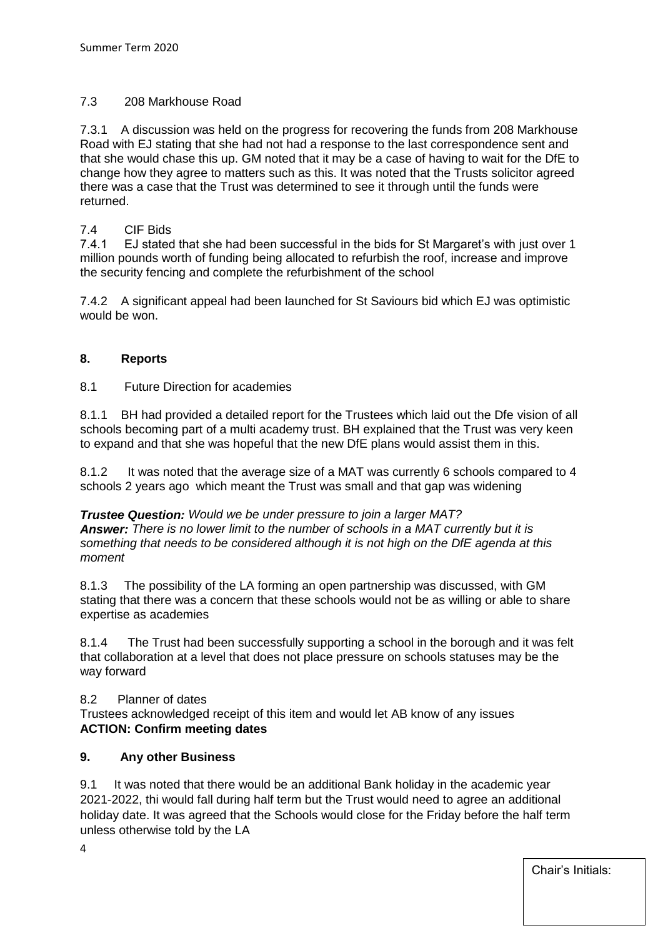# 7.3 208 Markhouse Road

7.3.1 A discussion was held on the progress for recovering the funds from 208 Markhouse Road with EJ stating that she had not had a response to the last correspondence sent and that she would chase this up. GM noted that it may be a case of having to wait for the DfE to change how they agree to matters such as this. It was noted that the Trusts solicitor agreed there was a case that the Trust was determined to see it through until the funds were returned.

# 7.4 CIF Bids

7.4.1 EJ stated that she had been successful in the bids for St Margaret's with just over 1 million pounds worth of funding being allocated to refurbish the roof, increase and improve the security fencing and complete the refurbishment of the school

7.4.2 A significant appeal had been launched for St Saviours bid which EJ was optimistic would be won.

# **8. Reports**

8.1 Future Direction for academies

8.1.1 BH had provided a detailed report for the Trustees which laid out the Dfe vision of all schools becoming part of a multi academy trust. BH explained that the Trust was very keen to expand and that she was hopeful that the new DfE plans would assist them in this.

8.1.2 It was noted that the average size of a MAT was currently 6 schools compared to 4 schools 2 years ago which meant the Trust was small and that gap was widening

*Trustee Question: Would we be under pressure to join a larger MAT? Answer: There is no lower limit to the number of schools in a MAT currently but it is something that needs to be considered although it is not high on the DfE agenda at this moment*

8.1.3 The possibility of the LA forming an open partnership was discussed, with GM stating that there was a concern that these schools would not be as willing or able to share expertise as academies

8.1.4 The Trust had been successfully supporting a school in the borough and it was felt that collaboration at a level that does not place pressure on schools statuses may be the way forward

#### 8.2 Planner of dates

Trustees acknowledged receipt of this item and would let AB know of any issues **ACTION: Confirm meeting dates**

#### **9. Any other Business**

9.1 It was noted that there would be an additional Bank holiday in the academic year 2021-2022, thi would fall during half term but the Trust would need to agree an additional holiday date. It was agreed that the Schools would close for the Friday before the half term unless otherwise told by the LA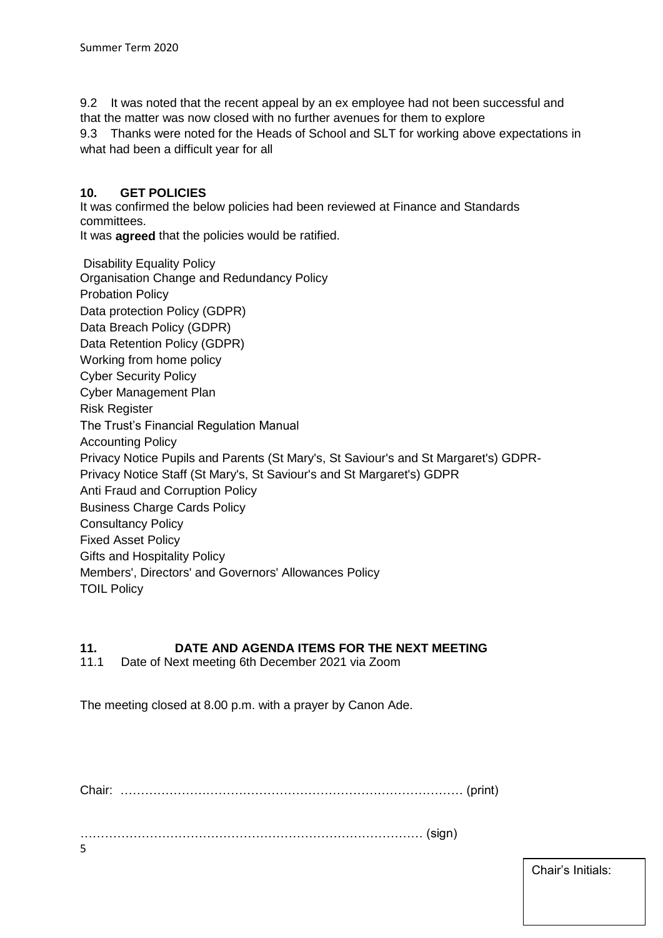9.2 It was noted that the recent appeal by an ex employee had not been successful and that the matter was now closed with no further avenues for them to explore

9.3 Thanks were noted for the Heads of School and SLT for working above expectations in what had been a difficult year for all

# **10. GET POLICIES**

It was confirmed the below policies had been reviewed at Finance and Standards committees.

It was **agreed** that the policies would be ratified.

Disability Equality Policy Organisation Change and Redundancy Policy Probation Policy Data protection Policy (GDPR) Data Breach Policy (GDPR) Data Retention Policy (GDPR) Working from home policy Cyber Security Policy Cyber Management Plan Risk Register The Trust's Financial Regulation Manual Accounting Policy Privacy Notice Pupils and Parents (St Mary's, St Saviour's and St Margaret's) GDPR-Privacy Notice Staff (St Mary's, St Saviour's and St Margaret's) GDPR Anti Fraud and Corruption Policy Business Charge Cards Policy Consultancy Policy Fixed Asset Policy Gifts and Hospitality Policy Members', Directors' and Governors' Allowances Policy TOIL Policy

# **11. DATE AND AGENDA ITEMS FOR THE NEXT MEETING**

11.1 Date of Next meeting 6th December 2021 via Zoom

The meeting closed at 8.00 p.m. with a prayer by Canon Ade.

Chair: ………………………………………………………………………… (print)

………………………………………………………………………… (sign)

Chair's Initials:

5